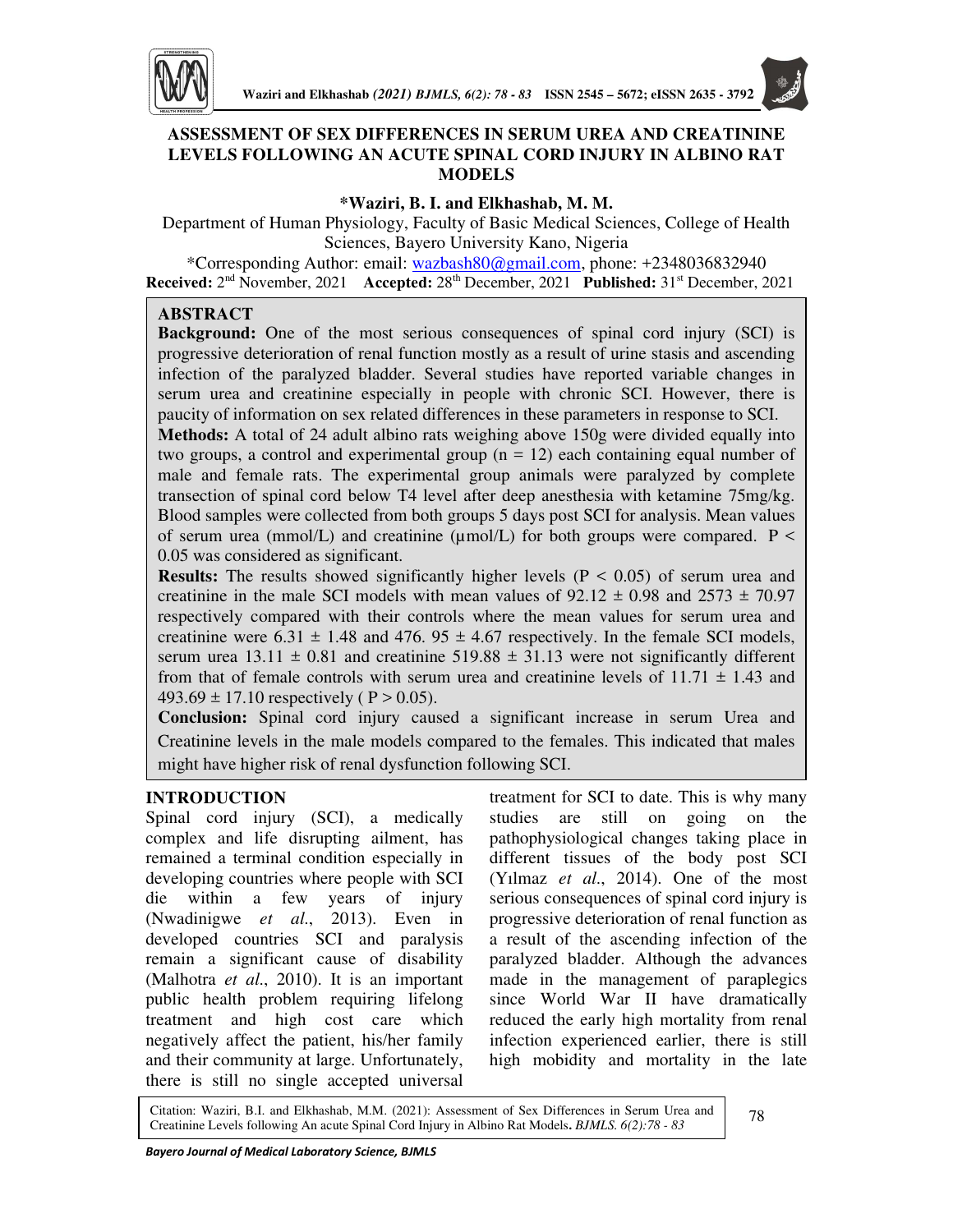

# **ASSESSMENT OF SEX DIFFERENCES IN SERUM UREA AND CREATININE LEVELS FOLLOWING AN ACUTE SPINAL CORD INJURY IN ALBINO RAT MODELS**

### **\*Waziri, B. I. and Elkhashab, M. M.**

Department of Human Physiology, Faculty of Basic Medical Sciences, College of Health Sciences, Bayero University Kano, Nigeria

\*Corresponding Author: email: wazbash80@gmail.com, phone: +2348036832940 **Received:** 2nd November, 2021 **Accepted:** 28th December, 2021 **Published:** 31st December, 2021

## **ABSTRACT**

**Background:** One of the most serious consequences of spinal cord injury (SCI) is progressive deterioration of renal function mostly as a result of urine stasis and ascending infection of the paralyzed bladder. Several studies have reported variable changes in serum urea and creatinine especially in people with chronic SCI. However, there is paucity of information on sex related differences in these parameters in response to SCI.

**Methods:** A total of 24 adult albino rats weighing above 150g were divided equally into two groups, a control and experimental group  $(n = 12)$  each containing equal number of male and female rats. The experimental group animals were paralyzed by complete transection of spinal cord below T4 level after deep anesthesia with ketamine 75mg/kg. Blood samples were collected from both groups 5 days post SCI for analysis. Mean values of serum urea (mmol/L) and creatinine ( $\mu$ mol/L) for both groups were compared. P < 0.05 was considered as significant.

**Results:** The results showed significantly higher levels (P < 0.05) of serum urea and creatinine in the male SCI models with mean values of  $92.12 \pm 0.98$  and  $2573 \pm 70.97$ respectively compared with their controls where the mean values for serum urea and creatinine were  $6.31 \pm 1.48$  and  $476.95 \pm 4.67$  respectively. In the female SCI models, serum urea  $13.11 \pm 0.81$  and creatinine  $519.88 \pm 31.13$  were not significantly different from that of female controls with serum urea and creatinine levels of  $11.71 \pm 1.43$  and 493.69  $\pm$  17.10 respectively (P > 0.05).

**Conclusion:** Spinal cord injury caused a significant increase in serum Urea and Creatinine levels in the male models compared to the females. This indicated that males might have higher risk of renal dysfunction following SCI.

## **INTRODUCTION**

Spinal cord injury (SCI), a medically complex and life disrupting ailment, has remained a terminal condition especially in developing countries where people with SCI die within a few years of injury (Nwadinigwe *et al*., 2013). Even in developed countries SCI and paralysis remain a significant cause of disability (Malhotra *et al*., 2010). It is an important public health problem requiring lifelong treatment and high cost care which negatively affect the patient, his/her family and their community at large. Unfortunately, there is still no single accepted universal

treatment for SCI to date. This is why many studies are still on going on the pathophysiological changes taking place in different tissues of the body post SCI (Yılmaz *et al*., 2014). One of the most serious consequences of spinal cord injury is progressive deterioration of renal function as a result of the ascending infection of the paralyzed bladder. Although the advances made in the management of paraplegics since World War II have dramatically reduced the early high mortality from renal infection experienced earlier, there is still high mobidity and mortality in the late

Citation: Waziri, B.I. and Elkhashab, M.M. (2021): Assessment of Sex Differences in Serum Urea and Creatinine Levels following An acute Spinal Cord Injury in Albino Rat Models**.** *BJMLS. 6(2):78 - 83*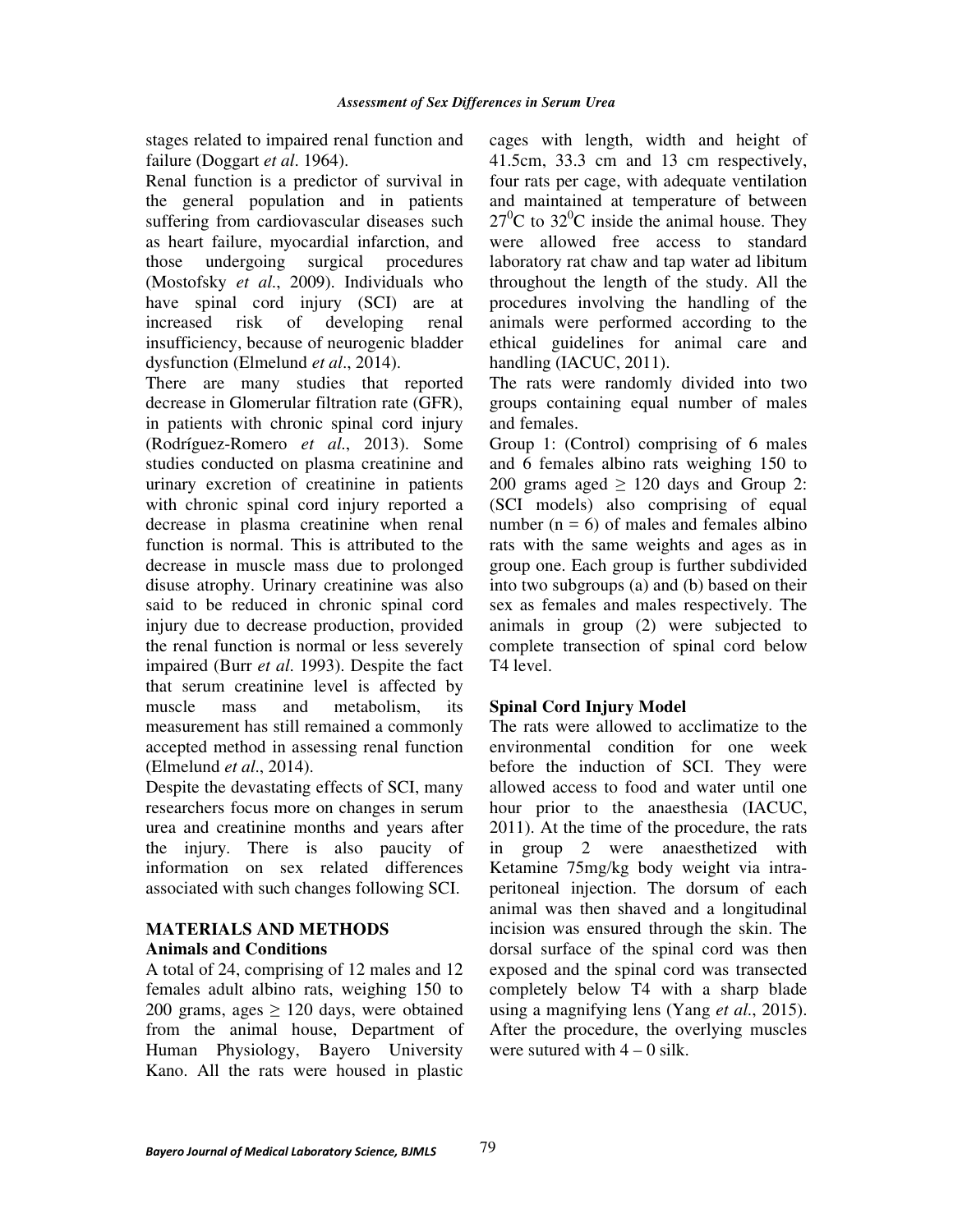stages related to impaired renal function and failure (Doggart *et al*. 1964).

Renal function is a predictor of survival in the general population and in patients suffering from cardiovascular diseases such as heart failure, myocardial infarction, and those undergoing surgical procedures (Mostofsky *et al*., 2009). Individuals who have spinal cord injury (SCI) are at increased risk of developing renal insufficiency, because of neurogenic bladder dysfunction (Elmelund *et al*., 2014).

There are many studies that reported decrease in Glomerular filtration rate (GFR), in patients with chronic spinal cord injury (Rodríguez-Romero *et al*., 2013). Some studies conducted on plasma creatinine and urinary excretion of creatinine in patients with chronic spinal cord injury reported a decrease in plasma creatinine when renal function is normal. This is attributed to the decrease in muscle mass due to prolonged disuse atrophy. Urinary creatinine was also said to be reduced in chronic spinal cord injury due to decrease production, provided the renal function is normal or less severely impaired (Burr *et al*. 1993). Despite the fact that serum creatinine level is affected by muscle mass and metabolism, its measurement has still remained a commonly accepted method in assessing renal function (Elmelund *et al*., 2014).

Despite the devastating effects of SCI, many researchers focus more on changes in serum urea and creatinine months and years after the injury. There is also paucity of information on sex related differences associated with such changes following SCI.

## **MATERIALS AND METHODS Animals and Conditions**

A total of 24, comprising of 12 males and 12 females adult albino rats, weighing 150 to 200 grams, ages  $\geq$  120 days, were obtained from the animal house, Department of Human Physiology, Bayero University Kano. All the rats were housed in plastic cages with length, width and height of 41.5cm, 33.3 cm and 13 cm respectively, four rats per cage, with adequate ventilation and maintained at temperature of between  $27^{\circ}$ C to  $32^{\circ}$ C inside the animal house. They were allowed free access to standard laboratory rat chaw and tap water ad libitum throughout the length of the study. All the procedures involving the handling of the animals were performed according to the ethical guidelines for animal care and handling (IACUC, 2011).

The rats were randomly divided into two groups containing equal number of males and females.

Group 1: (Control) comprising of 6 males and 6 females albino rats weighing 150 to 200 grams aged  $\geq$  120 days and Group 2: (SCI models) also comprising of equal number  $(n = 6)$  of males and females albino rats with the same weights and ages as in group one. Each group is further subdivided into two subgroups (a) and (b) based on their sex as females and males respectively. The animals in group (2) were subjected to complete transection of spinal cord below T4 level.

# **Spinal Cord Injury Model**

The rats were allowed to acclimatize to the environmental condition for one week before the induction of SCI. They were allowed access to food and water until one hour prior to the anaesthesia (IACUC, 2011). At the time of the procedure, the rats in group 2 were anaesthetized with Ketamine 75mg/kg body weight via intraperitoneal injection. The dorsum of each animal was then shaved and a longitudinal incision was ensured through the skin. The dorsal surface of the spinal cord was then exposed and the spinal cord was transected completely below T4 with a sharp blade using a magnifying lens (Yang *et al*., 2015). After the procedure, the overlying muscles were sutured with  $4 - 0$  silk.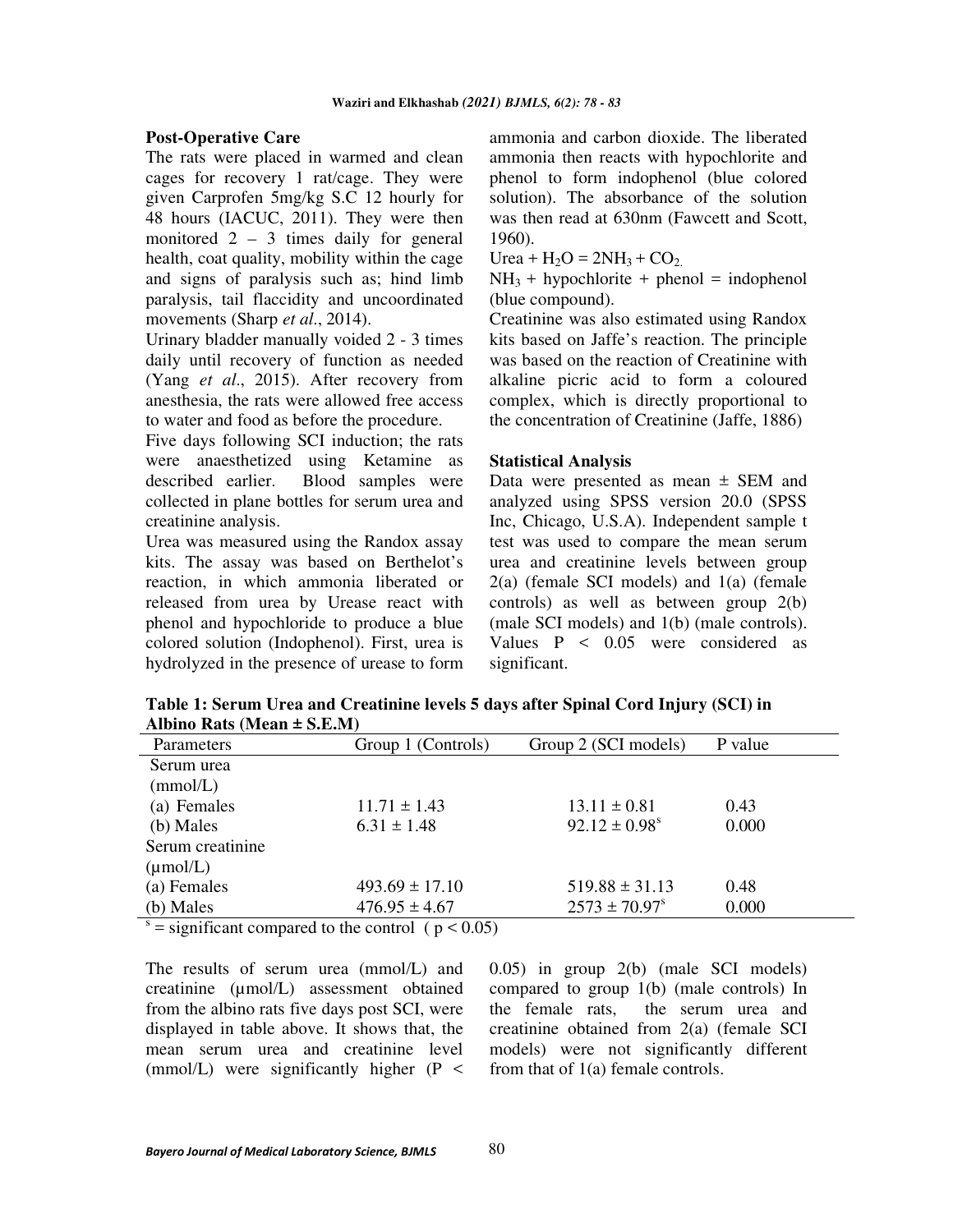#### **Post-Operative Care**

The rats were placed in warmed and clean cages for recovery 1 rat/cage. They were given Carprofen 5mg/kg S.C 12 hourly for 48 hours (IACUC, 2011). They were then monitored 2 – 3 times daily for general health, coat quality, mobility within the cage and signs of paralysis such as; hind limb paralysis, tail flaccidity and uncoordinated movements (Sharp *et al*., 2014).

Urinary bladder manually voided 2 - 3 times daily until recovery of function as needed (Yang *et al*., 2015). After recovery from anesthesia, the rats were allowed free access to water and food as before the procedure.

Five days following SCI induction; the rats were anaesthetized using Ketamine as described earlier. Blood samples were collected in plane bottles for serum urea and creatinine analysis.

Urea was measured using the Randox assay kits. The assay was based on Berthelot's reaction, in which ammonia liberated or released from urea by Urease react with phenol and hypochloride to produce a blue colored solution (Indophenol). First, urea is hydrolyzed in the presence of urease to form

ammonia and carbon dioxide. The liberated ammonia then reacts with hypochlorite and phenol to form indophenol (blue colored solution). The absorbance of the solution was then read at 630nm (Fawcett and Scott, 1960).

Urea +  $H_2O = 2NH_3 + CO_2$ .

 $NH<sub>3</sub> + hypochlorite + phenol = indophenol$ (blue compound).

Creatinine was also estimated using Randox kits based on Jaffe's reaction. The principle was based on the reaction of Creatinine with alkaline picric acid to form a coloured complex, which is directly proportional to the concentration of Creatinine (Jaffe, 1886)

#### **Statistical Analysis**

Data were presented as mean  $\pm$  SEM and analyzed using SPSS version 20.0 (SPSS Inc, Chicago, U.S.A). Independent sample t test was used to compare the mean serum urea and creatinine levels between group 2(a) (female SCI models) and 1(a) (female controls) as well as between group 2(b) (male SCI models) and 1(b) (male controls). Values P < 0.05 were considered as significant.

**Table 1: Serum Urea and Creatinine levels 5 days after Spinal Cord Injury (SCI) in**  Albino Rats (Mean  $+ S F M$ )

| $\mu$ . $\mu$                   |                     |                               |         |
|---------------------------------|---------------------|-------------------------------|---------|
| <b>Parameters</b>               | Group 1 (Controls)  | Group 2 (SCI models)          | P value |
| Serum urea                      |                     |                               |         |
| (mmol/L)                        |                     |                               |         |
| (a) Females                     | $11.71 \pm 1.43$    | $13.11 \pm 0.81$              | 0.43    |
| (b) Males                       | $6.31 \pm 1.48$     | $92.12 \pm 0.98$ <sup>s</sup> | 0.000   |
| Serum creatinine                |                     |                               |         |
| $(\mu \text{mol/L})$            |                     |                               |         |
| (a) Females                     | $493.69 \pm 17.10$  | $519.88 \pm 31.13$            | 0.48    |
| (b) Males                       | $476.95 \pm 4.67$   | $2573 \pm 70.97$ <sup>s</sup> | 0.000   |
| $\sim$ $\sim$<br>$\cdot$ $\sim$ | 1. 1. 1. 1. 0.0. TV |                               |         |

s  $=$  significant compared to the control (  $p < 0.05$ )

The results of serum urea (mmol/L) and creatinine (µmol/L) assessment obtained from the albino rats five days post SCI, were displayed in table above. It shows that, the mean serum urea and creatinine level (mmol/L) were significantly higher  $(P \leq$ 

0.05) in group 2(b) (male SCI models) compared to group 1(b) (male controls) In the female rats, the serum urea and creatinine obtained from 2(a) (female SCI models) were not significantly different from that of 1(a) female controls.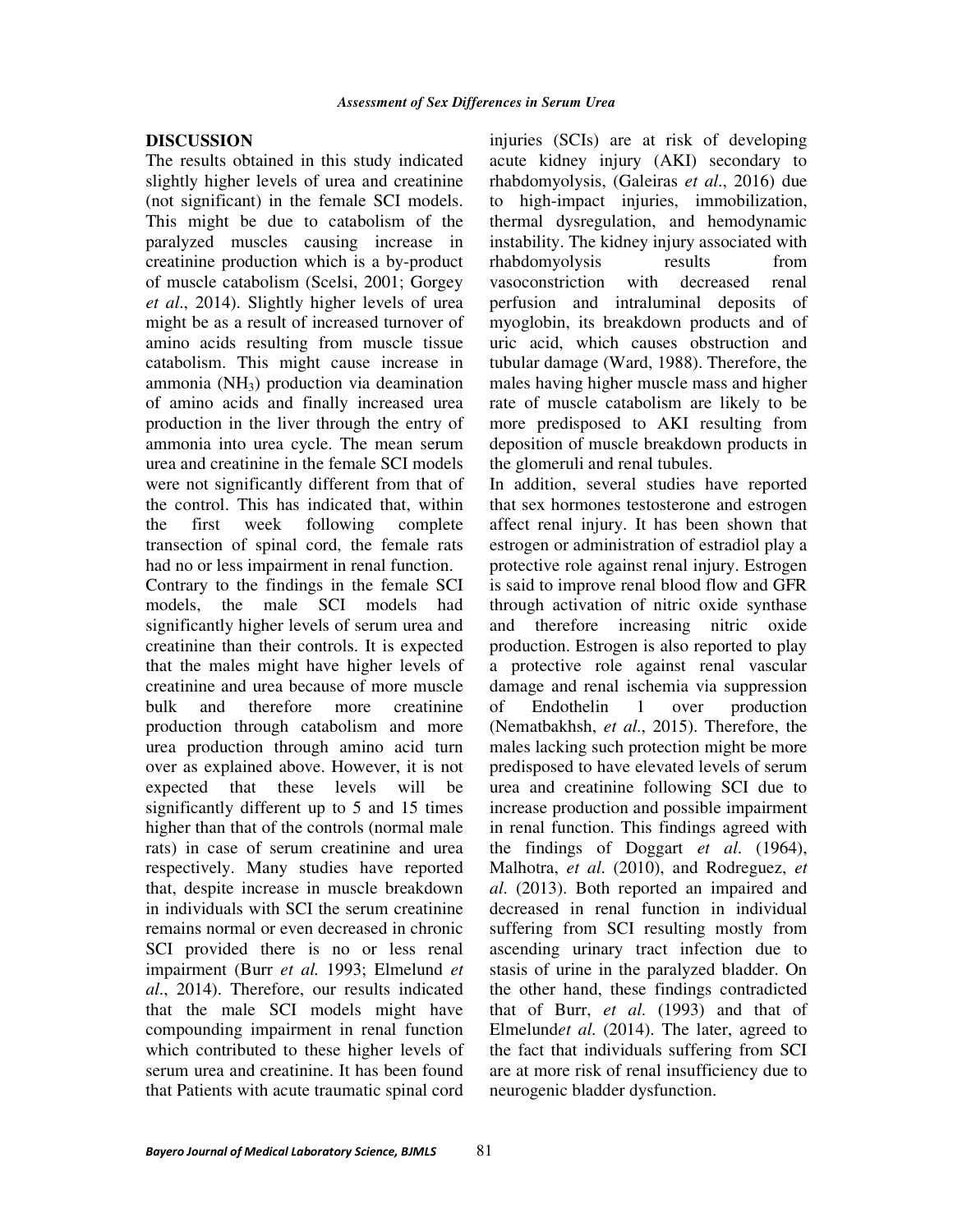### **DISCUSSION**

The results obtained in this study indicated slightly higher levels of urea and creatinine (not significant) in the female SCI models. This might be due to catabolism of the paralyzed muscles causing increase in creatinine production which is a by-product of muscle catabolism (Scelsi, 2001; Gorgey *et al*., 2014). Slightly higher levels of urea might be as a result of increased turnover of amino acids resulting from muscle tissue catabolism. This might cause increase in ammonia (NH3) production via deamination of amino acids and finally increased urea production in the liver through the entry of ammonia into urea cycle. The mean serum urea and creatinine in the female SCI models were not significantly different from that of the control. This has indicated that, within the first week following complete transection of spinal cord, the female rats had no or less impairment in renal function. Contrary to the findings in the female SCI models, the male SCI models had significantly higher levels of serum urea and creatinine than their controls. It is expected that the males might have higher levels of creatinine and urea because of more muscle bulk and therefore more creatinine production through catabolism and more urea production through amino acid turn over as explained above. However, it is not expected that these levels will be significantly different up to 5 and 15 times higher than that of the controls (normal male rats) in case of serum creatinine and urea respectively. Many studies have reported that, despite increase in muscle breakdown in individuals with SCI the serum creatinine remains normal or even decreased in chronic SCI provided there is no or less renal impairment (Burr *et al.* 1993; Elmelund *et al*., 2014). Therefore, our results indicated that the male SCI models might have compounding impairment in renal function which contributed to these higher levels of serum urea and creatinine. It has been found

injuries (SCIs) are at risk of developing acute kidney injury (AKI) secondary to rhabdomyolysis, (Galeiras *et al*., 2016) due to high-impact injuries, immobilization, thermal dysregulation, and hemodynamic instability. The kidney injury associated with rhabdomyolysis results from vasoconstriction with decreased renal perfusion and intraluminal deposits of myoglobin, its breakdown products and of uric acid, which causes obstruction and tubular damage (Ward, 1988). Therefore, the males having higher muscle mass and higher rate of muscle catabolism are likely to be more predisposed to AKI resulting from deposition of muscle breakdown products in the glomeruli and renal tubules.

In addition, several studies have reported that sex hormones testosterone and estrogen affect renal injury. It has been shown that estrogen or administration of estradiol play a protective role against renal injury. Estrogen is said to improve renal blood flow and GFR through activation of nitric oxide synthase and therefore increasing nitric oxide production. Estrogen is also reported to play a protective role against renal vascular damage and renal ischemia via suppression of Endothelin 1 over production (Nematbakhsh, *et al*., 2015). Therefore, the males lacking such protection might be more predisposed to have elevated levels of serum urea and creatinine following SCI due to increase production and possible impairment in renal function. This findings agreed with the findings of Doggart *et al*. (1964), Malhotra, *et al*. (2010), and Rodreguez, *et al*. (2013). Both reported an impaired and decreased in renal function in individual suffering from SCI resulting mostly from ascending urinary tract infection due to stasis of urine in the paralyzed bladder. On the other hand, these findings contradicted that of Burr, *et al*. (1993) and that of Elmelund*et al*. (2014). The later, agreed to the fact that individuals suffering from SCI are at more risk of renal insufficiency due to neurogenic bladder dysfunction.

that Patients with acute traumatic spinal cord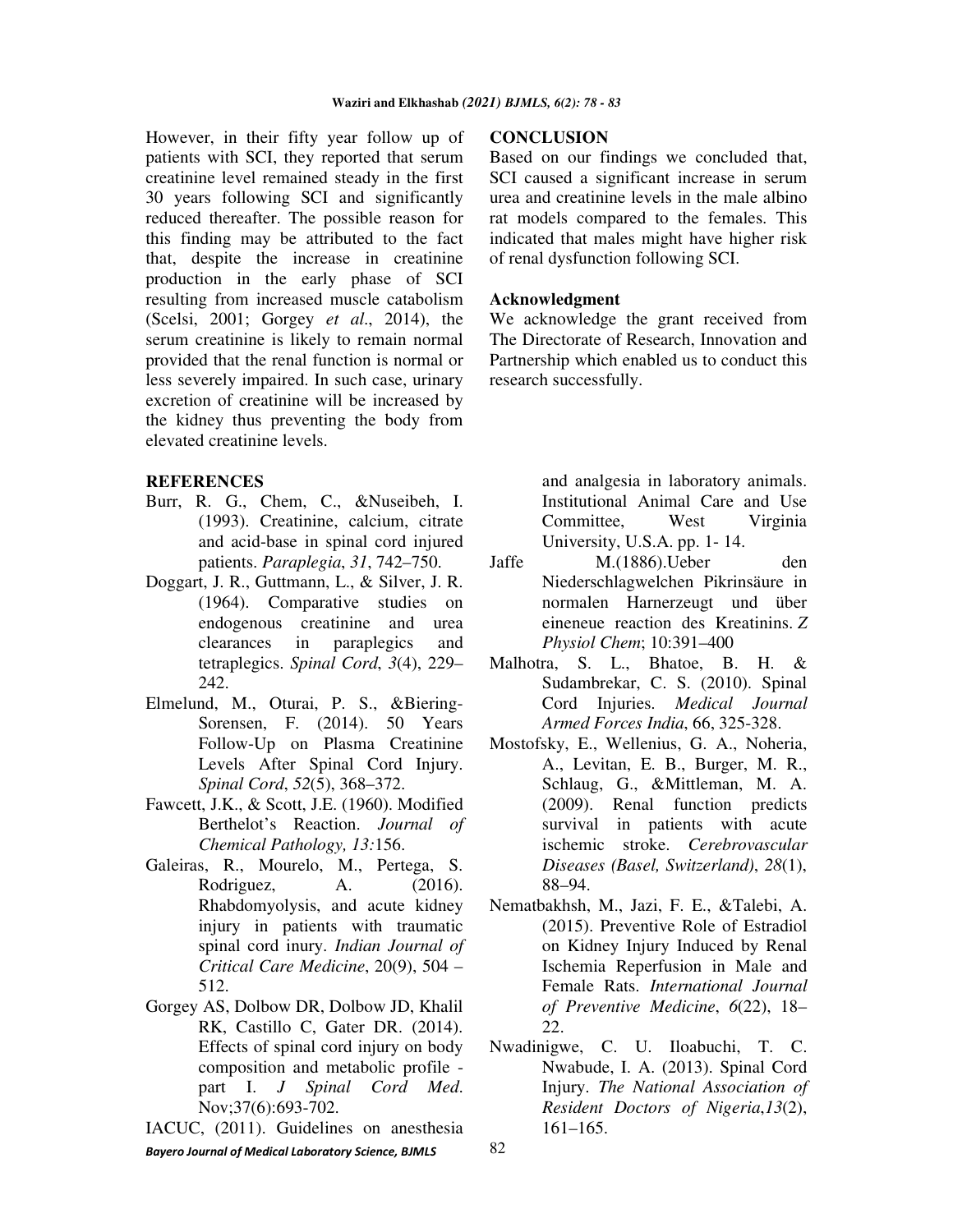However, in their fifty year follow up of patients with SCI, they reported that serum creatinine level remained steady in the first 30 years following SCI and significantly reduced thereafter. The possible reason for this finding may be attributed to the fact that, despite the increase in creatinine production in the early phase of SCI resulting from increased muscle catabolism (Scelsi, 2001; Gorgey *et al*., 2014), the serum creatinine is likely to remain normal provided that the renal function is normal or less severely impaired. In such case, urinary excretion of creatinine will be increased by the kidney thus preventing the body from elevated creatinine levels.

## **REFERENCES**

- Burr, R. G., Chem, C., &Nuseibeh, I. (1993). Creatinine, calcium, citrate and acid-base in spinal cord injured patients. *Paraplegia*, *31*, 742–750.
- Doggart, J. R., Guttmann, L., & Silver, J. R. (1964). Comparative studies on endogenous creatinine and urea clearances in paraplegics and tetraplegics. *Spinal Cord*, *3*(4), 229– 242.
- Elmelund, M., Oturai, P. S., &Biering-Sorensen, F. (2014). 50 Years Follow-Up on Plasma Creatinine Levels After Spinal Cord Injury. *Spinal Cord*, *52*(5), 368–372.
- Fawcett, J.K., & Scott, J.E. (1960). Modified Berthelot's Reaction. *Journal of Chemical Pathology, 13:*156.
- Galeiras, R., Mourelo, M., Pertega, S. Rodriguez, A. (2016). Rhabdomyolysis, and acute kidney injury in patients with traumatic spinal cord inury. *Indian Journal of Critical Care Medicine*, 20(9), 504 – 512.
- Gorgey AS, Dolbow DR, Dolbow JD, Khalil RK, Castillo C, Gater DR. (2014). Effects of spinal cord injury on body composition and metabolic profile part I. *J Spinal Cord Med*. Nov;37(6):693-702.
- *Bayero Journal of Medical Laboratory Science, BJMLS*  IACUC, (2011). Guidelines on anesthesia

### **CONCLUSION**

Based on our findings we concluded that, SCI caused a significant increase in serum urea and creatinine levels in the male albino rat models compared to the females. This indicated that males might have higher risk of renal dysfunction following SCI.

### **Acknowledgment**

We acknowledge the grant received from The Directorate of Research, Innovation and Partnership which enabled us to conduct this research successfully.

> and analgesia in laboratory animals. Institutional Animal Care and Use Committee, West Virginia University, U.S.A. pp. 1- 14.

- Jaffe M.(1886).Ueber den Niederschlagwelchen Pikrinsäure in normalen Harnerzeugt und über eineneue reaction des Kreatinins. *Z Physiol Chem*; 10:391–400
- Malhotra, S. L., Bhatoe, B. H. & Sudambrekar, C. S. (2010). Spinal Cord Injuries. *Medical Journal Armed Forces India*, 66, 325-328.
- Mostofsky, E., Wellenius, G. A., Noheria, A., Levitan, E. B., Burger, M. R., Schlaug, G., &Mittleman, M. A. (2009). Renal function predicts survival in patients with acute ischemic stroke. *Cerebrovascular Diseases (Basel, Switzerland)*, *28*(1), 88–94.
- Nematbakhsh, M., Jazi, F. E., &Talebi, A. (2015). Preventive Role of Estradiol on Kidney Injury Induced by Renal Ischemia Reperfusion in Male and Female Rats. *International Journal of Preventive Medicine*, *6*(22), 18– 22.
- Nwadinigwe, C. U. Iloabuchi, T. C. Nwabude, I. A. (2013). Spinal Cord Injury. *The National Association of Resident Doctors of Nigeria*,*13*(2), 161–165.

82